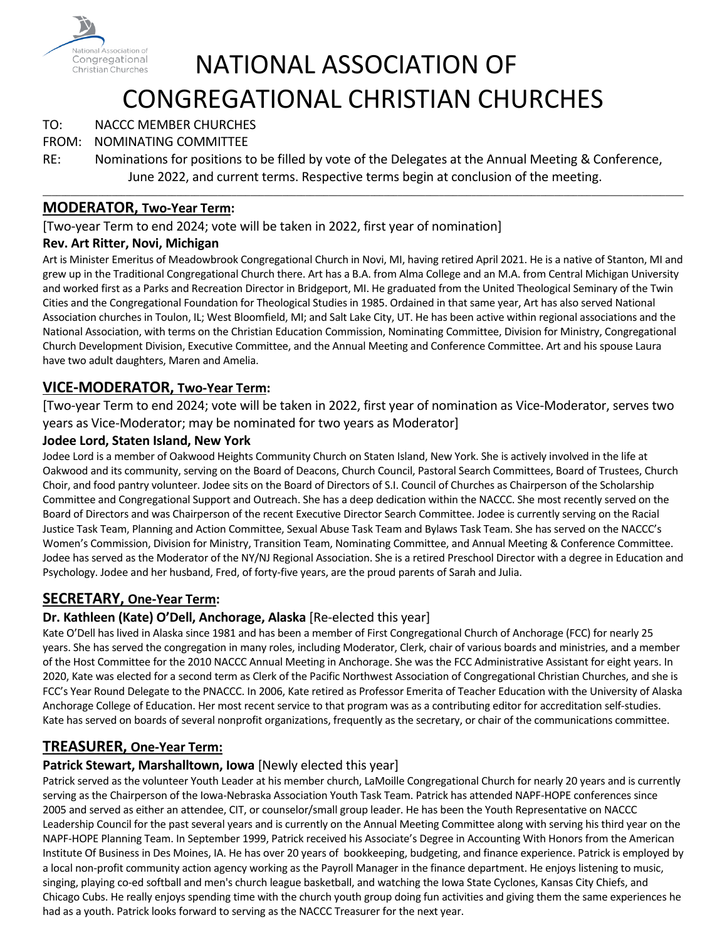

# NATIONAL ASSOCIATION OF CONGREGATIONAL CHRISTIAN CHURCHES

# TO: NACCC MEMBER CHURCHES

# FROM: NOMINATING COMMITTEE

RE: Nominations for positions to be filled by vote of the Delegates at the Annual Meeting & Conference, June 2022, and current terms. Respective terms begin at conclusion of the meeting.

\_\_\_\_\_\_\_\_\_\_\_\_\_\_\_\_\_\_\_\_\_\_\_\_\_\_\_\_\_\_\_\_\_\_\_\_\_\_\_\_\_\_\_\_\_\_\_\_\_\_\_\_\_\_\_\_\_\_\_\_\_\_\_\_\_\_\_\_\_\_\_\_\_\_\_\_\_\_\_\_\_\_\_\_\_\_\_\_\_\_\_\_\_\_\_\_\_\_\_\_\_\_\_\_\_\_\_\_\_\_\_\_\_\_\_\_\_\_\_\_\_\_\_\_\_\_\_\_\_\_\_\_\_\_\_\_\_\_\_

# **MODERATOR, Two-Year Term:**

[Two-year Term to end 2024; vote will be taken in 2022, first year of nomination]

### **Rev. Art Ritter, Novi, Michigan**

Art is Minister Emeritus of Meadowbrook Congregational Church in Novi, MI, having retired April 2021. He is a native of Stanton, MI and grew up in the Traditional Congregational Church there. Art has a B.A. from Alma College and an M.A. from Central Michigan University and worked first as a Parks and Recreation Director in Bridgeport, MI. He graduated from the United Theological Seminary of the Twin Cities and the Congregational Foundation for Theological Studies in 1985. Ordained in that same year, Art has also served National Association churches in Toulon, IL; West Bloomfield, MI; and Salt Lake City, UT. He has been active within regional associations and the National Association, with terms on the Christian Education Commission, Nominating Committee, Division for Ministry, Congregational Church Development Division, Executive Committee, and the Annual Meeting and Conference Committee. Art and his spouse Laura have two adult daughters, Maren and Amelia.

# **VICE-MODERATOR, Two-Year Term:**

[Two-year Term to end 2024; vote will be taken in 2022, first year of nomination as Vice-Moderator, serves two years as Vice-Moderator; may be nominated for two years as Moderator]

### **Jodee Lord, Staten Island, New York**

Jodee Lord is a member of Oakwood Heights Community Church on Staten Island, New York. She is actively involved in the life at Oakwood and its community, serving on the Board of Deacons, Church Council, Pastoral Search Committees, Board of Trustees, Church Choir, and food pantry volunteer. Jodee sits on the Board of Directors of S.I. Council of Churches as Chairperson of the Scholarship Committee and Congregational Support and Outreach. She has a deep dedication within the NACCC. She most recently served on the Board of Directors and was Chairperson of the recent Executive Director Search Committee. Jodee is currently serving on the Racial Justice Task Team, Planning and Action Committee, Sexual Abuse Task Team and Bylaws Task Team. She has served on the NACCC's Women's Commission, Division for Ministry, Transition Team, Nominating Committee, and Annual Meeting & Conference Committee. Jodee has served as the Moderator of the NY/NJ Regional Association. She is a retired Preschool Director with a degree in Education and Psychology. Jodee and her husband, Fred, of forty-five years, are the proud parents of Sarah and Julia.

# **SECRETARY, One-Year Term:**

# **Dr. Kathleen (Kate) O'Dell, Anchorage, Alaska** [Re-elected this year]

Kate O'Dell has lived in Alaska since 1981 and has been a member of First Congregational Church of Anchorage (FCC) for nearly 25 years. She has served the congregation in many roles, including Moderator, Clerk, chair of various boards and ministries, and a member of the Host Committee for the 2010 NACCC Annual Meeting in Anchorage. She was the FCC Administrative Assistant for eight years. In 2020, Kate was elected for a second term as Clerk of the Pacific Northwest Association of Congregational Christian Churches, and she is FCC's Year Round Delegate to the PNACCC. In 2006, Kate retired as Professor Emerita of Teacher Education with the University of Alaska Anchorage College of Education. Her most recent service to that program was as a contributing editor for accreditation self-studies. Kate has served on boards of several nonprofit organizations, frequently as the secretary, or chair of the communications committee.

# **TREASURER, One-Year Term:**

### **Patrick Stewart, Marshalltown, Iowa** [Newly elected this year]

Patrick served as the volunteer Youth Leader at his member church, LaMoille Congregational Church for nearly 20 years and is currently serving as the Chairperson of the Iowa-Nebraska Association Youth Task Team. Patrick has attended NAPF-HOPE conferences since 2005 and served as either an attendee, CIT, or counselor/small group leader. He has been the Youth Representative on NACCC Leadership Council for the past several years and is currently on the Annual Meeting Committee along with serving his third year on the NAPF-HOPE Planning Team. In September 1999, Patrick received his Associate's Degree in Accounting With Honors from the American Institute Of Business in Des Moines, IA. He has over 20 years of bookkeeping, budgeting, and finance experience. Patrick is employed by a local non-profit community action agency working as the Payroll Manager in the finance department. He enjoys listening to music, singing, playing co-ed softball and men's church league basketball, and watching the Iowa State Cyclones, Kansas City Chiefs, and Chicago Cubs. He really enjoys spending time with the church youth group doing fun activities and giving them the same experiences he had as a youth. Patrick looks forward to serving as the NACCC Treasurer for the next year.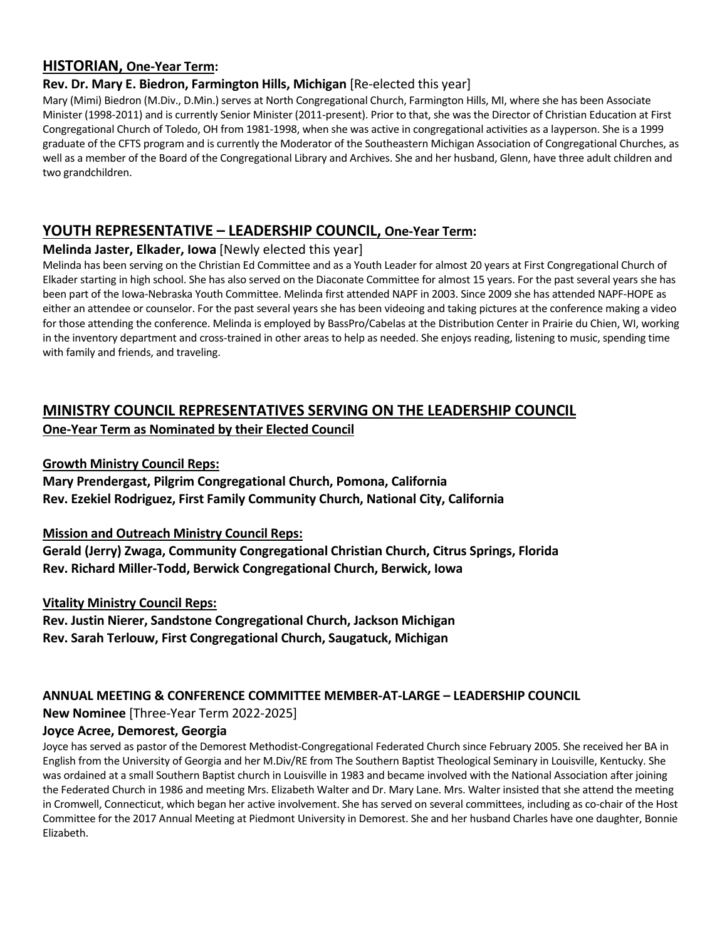# **HISTORIAN, One-Year Term:**

### **Rev. Dr. Mary E. Biedron, Farmington Hills, Michigan** [Re-elected this year]

Mary (Mimi) Biedron (M.Div., D.Min.) serves at North Congregational Church, Farmington Hills, MI, where she has been Associate Minister (1998-2011) and is currently Senior Minister (2011-present). Prior to that, she was the Director of Christian Education at First Congregational Church of Toledo, OH from 1981-1998, when she was active in congregational activities as a layperson. She is a 1999 graduate of the CFTS program and is currently the Moderator of the Southeastern Michigan Association of Congregational Churches, as well as a member of the Board of the Congregational Library and Archives. She and her husband, Glenn, have three adult children and two grandchildren.

# **YOUTH REPRESENTATIVE – LEADERSHIP COUNCIL, One-Year Term:**

### **Melinda Jaster, Elkader, Iowa** [Newly elected this year]

Melinda has been serving on the Christian Ed Committee and as a Youth Leader for almost 20 years at First Congregational Church of Elkader starting in high school. She has also served on the Diaconate Committee for almost 15 years. For the past several years she has been part of the Iowa-Nebraska Youth Committee. Melinda first attended NAPF in 2003. Since 2009 she has attended NAPF-HOPE as either an attendee or counselor. For the past several years she has been videoing and taking pictures at the conference making a video for those attending the conference. Melinda is employed by BassPro/Cabelas at the Distribution Center in Prairie du Chien, WI, working in the inventory department and cross-trained in other areas to help as needed. She enjoys reading, listening to music, spending time with family and friends, and traveling.

# **MINISTRY COUNCIL REPRESENTATIVES SERVING ON THE LEADERSHIP COUNCIL One-Year Term as Nominated by their Elected Council**

### **Growth Ministry Council Reps:**

**Mary Prendergast, Pilgrim Congregational Church, Pomona, California Rev. Ezekiel Rodriguez, First Family Community Church, National City, California**

### **Mission and Outreach Ministry Council Reps:**

**Gerald (Jerry) Zwaga, Community Congregational Christian Church, Citrus Springs, Florida Rev. Richard Miller-Todd, Berwick Congregational Church, Berwick, Iowa**

### **Vitality Ministry Council Reps:**

**Rev. Justin Nierer, Sandstone Congregational Church, Jackson Michigan Rev. Sarah Terlouw, First Congregational Church, Saugatuck, Michigan**

### **ANNUAL MEETING & CONFERENCE COMMITTEE MEMBER-AT-LARGE – LEADERSHIP COUNCIL**

**New Nominee** [Three-Year Term 2022-2025]

### **Joyce Acree, Demorest, Georgia**

Joyce has served as pastor of the Demorest Methodist-Congregational Federated Church since February 2005. She received her BA in English from the University of Georgia and her M.Div/RE from The Southern Baptist Theological Seminary in Louisville, Kentucky. She was ordained at a small Southern Baptist church in Louisville in 1983 and became involved with the National Association after joining the Federated Church in 1986 and meeting Mrs. Elizabeth Walter and Dr. Mary Lane. Mrs. Walter insisted that she attend the meeting in Cromwell, Connecticut, which began her active involvement. She has served on several committees, including as co-chair of the Host Committee for the 2017 Annual Meeting at Piedmont University in Demorest. She and her husband Charles have one daughter, Bonnie Elizabeth.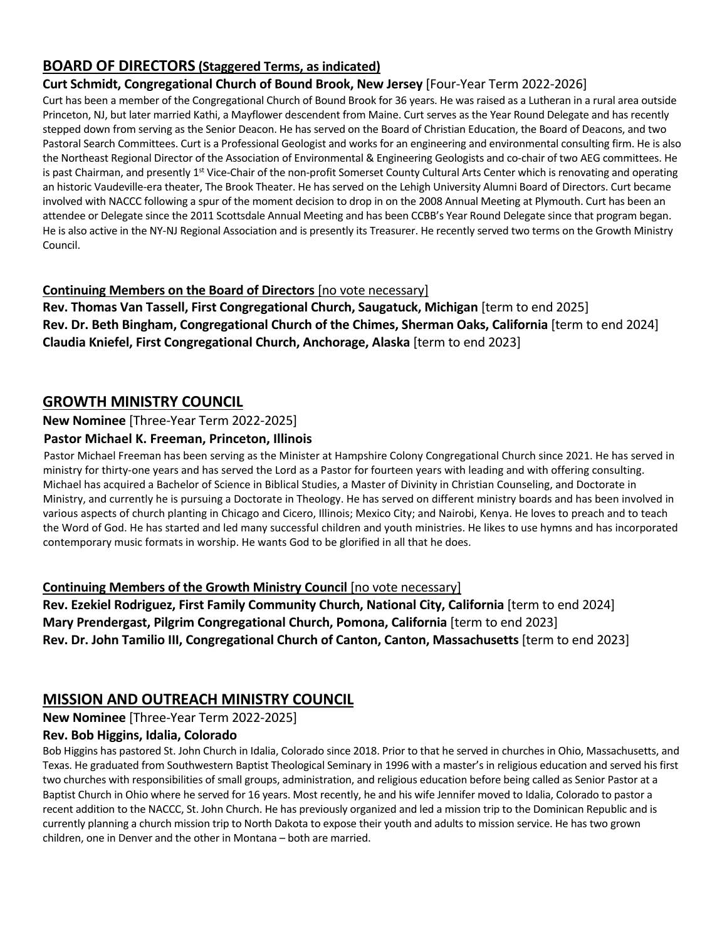# **BOARD OF DIRECTORS (Staggered Terms, as indicated)**

# **Curt Schmidt, Congregational Church of Bound Brook, New Jersey** [Four-Year Term 2022-2026]

Curt has been a member of the Congregational Church of Bound Brook for 36 years. He was raised as a Lutheran in a rural area outside Princeton, NJ, but later married Kathi, a Mayflower descendent from Maine. Curt serves as the Year Round Delegate and has recently stepped down from serving as the Senior Deacon. He has served on the Board of Christian Education, the Board of Deacons, and two Pastoral Search Committees. Curt is a Professional Geologist and works for an engineering and environmental consulting firm. He is also the Northeast Regional Director of the Association of Environmental & Engineering Geologists and co-chair of two AEG committees. He is past Chairman, and presently 1<sup>st</sup> Vice-Chair of the non-profit Somerset County Cultural Arts Center which is renovating and operating an historic Vaudeville-era theater, The Brook Theater. He has served on the Lehigh University Alumni Board of Directors. Curt became involved with NACCC following a spur of the moment decision to drop in on the 2008 Annual Meeting at Plymouth. Curt has been an attendee or Delegate since the 2011 Scottsdale Annual Meeting and has been CCBB's Year Round Delegate since that program began. He is also active in the NY-NJ Regional Association and is presently its Treasurer. He recently served two terms on the Growth Ministry Council.

# **Continuing Members on the Board of Directors** [no vote necessary]

**Rev. Thomas Van Tassell, First Congregational Church, Saugatuck, Michigan** [term to end 2025] **Rev. Dr. Beth Bingham, Congregational Church of the Chimes, Sherman Oaks, California** [term to end 2024] **Claudia Kniefel, First Congregational Church, Anchorage, Alaska** [term to end 2023]

# **GROWTH MINISTRY COUNCIL**

## **New Nominee** [Three-Year Term 2022-2025]

## **Pastor Michael K. Freeman, Princeton, Illinois**

Pastor Michael Freeman has been serving as the Minister at Hampshire Colony Congregational Church since 2021. He has served in ministry for thirty-one years and has served the Lord as a Pastor for fourteen years with leading and with offering consulting. Michael has acquired a Bachelor of Science in Biblical Studies, a Master of Divinity in Christian Counseling, and Doctorate in Ministry, and currently he is pursuing a Doctorate in Theology. He has served on different ministry boards and has been involved in various aspects of church planting in Chicago and Cicero, Illinois; Mexico City; and Nairobi, Kenya. He loves to preach and to teach the Word of God. He has started and led many successful children and youth ministries. He likes to use hymns and has incorporated contemporary music formats in worship. He wants God to be glorified in all that he does.

### **Continuing Members of the Growth Ministry Council** [no vote necessary]

**Rev. Ezekiel Rodriguez, First Family Community Church, National City, California** [term to end 2024] **Mary Prendergast, Pilgrim Congregational Church, Pomona, California** [term to end 2023] **Rev. Dr. John Tamilio III, Congregational Church of Canton, Canton, Massachusetts** [term to end 2023]

# **MISSION AND OUTREACH MINISTRY COUNCIL**

**New Nominee** [Three-Year Term 2022-2025]

# **Rev. Bob Higgins, Idalia, Colorado**

Bob Higgins has pastored St. John Church in Idalia, Colorado since 2018. Prior to that he served in churches in Ohio, Massachusetts, and Texas. He graduated from Southwestern Baptist Theological Seminary in 1996 with a master's in religious education and served his first two churches with responsibilities of small groups, administration, and religious education before being called as Senior Pastor at a Baptist Church in Ohio where he served for 16 years. Most recently, he and his wife Jennifer moved to Idalia, Colorado to pastor a recent addition to the NACCC, St. John Church. He has previously organized and led a mission trip to the Dominican Republic and is currently planning a church mission trip to North Dakota to expose their youth and adults to mission service. He has two grown children, one in Denver and the other in Montana – both are married.